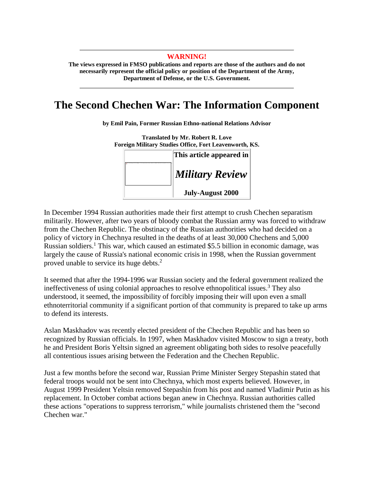## **WARNING!**

**The views expressed in FMSO publications and reports are those of the authors and do not necessarily represent the official policy or position of the Department of the Army, Department of Defense, or the U.S. Government.** 

## **The Second Chechen War: The Information Component**

**by Emil Pain, Former Russian Ethno-national Relations Advisor**

**Translated by Mr. Robert R. Love Foreign Military Studies Office, Fort Leavenworth, KS.** 



In December 1994 Russian authorities made their first attempt to crush Chechen separatism militarily. However, after two years of bloody combat the Russian army was forced to withdraw from the Chechen Republic. The obstinacy of the Russian authorities who had decided on a policy of victory in Chechnya resulted in the deaths of at least 30,000 Chechens and 5,000 Russian soldiers.<sup>1</sup> This war, which caused an estimated \$5.5 billion in economic damage, was largely the cause of Russia's national economic crisis in 1998, when the Russian government proved unable to service its huge debts.<sup>2</sup>

It seemed that after the 1994-1996 war Russian society and the federal government realized the ineffectiveness of using colonial approaches to resolve ethnopolitical issues.<sup>3</sup> They also understood, it seemed, the impossibility of forcibly imposing their will upon even a small ethnoterritorial community if a significant portion of that community is prepared to take up arms to defend its interests.

Aslan Maskhadov was recently elected president of the Chechen Republic and has been so recognized by Russian officials. In 1997, when Maskhadov visited Moscow to sign a treaty, both he and President Boris Yeltsin signed an agreement obligating both sides to resolve peacefully all contentious issues arising between the Federation and the Chechen Republic.

Just a few months before the second war, Russian Prime Minister Sergey Stepashin stated that federal troops would not be sent into Chechnya, which most experts believed. However, in August 1999 President Yeltsin removed Stepashin from his post and named Vladimir Putin as his replacement. In October combat actions began anew in Chechnya. Russian authorities called these actions "operations to suppress terrorism," while journalists christened them the "second Chechen war."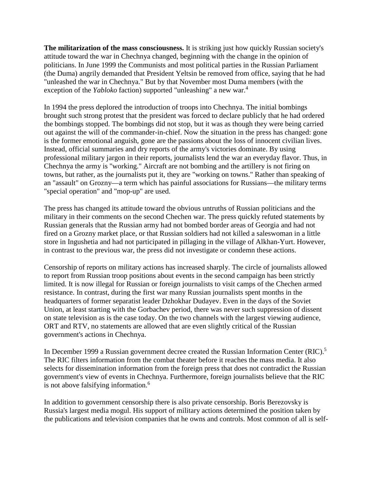**The militarization of the mass consciousness.** It is striking just how quickly Russian society's attitude toward the war in Chechnya changed, beginning with the change in the opinion of politicians. In June 1999 the Communists and most political parties in the Russian Parliament (the Duma) angrily demanded that President Yeltsin be removed from office, saying that he had "unleashed the war in Chechnya." But by that November most Duma members (with the exception of the *Yabloko* faction) supported "unleashing" a new war.<sup>4</sup>

In 1994 the press deplored the introduction of troops into Chechnya. The initial bombings brought such strong protest that the president was forced to declare publicly that he had ordered the bombings stopped. The bombings did not stop, but it was as though they were being carried out against the will of the commander-in-chief. Now the situation in the press has changed: gone is the former emotional anguish, gone are the passions about the loss of innocent civilian lives. Instead, official summaries and dry reports of the army's victories dominate. By using professional military jargon in their reports, journalists lend the war an everyday flavor. Thus, in Chechnya the army is "working." Aircraft are not bombing and the artillery is not firing on towns, but rather, as the journalists put it, they are "working on towns." Rather than speaking of an "assault" on Grozny—a term which has painful associations for Russians—the military terms "special operation" and "mop-up" are used.

The press has changed its attitude toward the obvious untruths of Russian politicians and the military in their comments on the second Chechen war. The press quickly refuted statements by Russian generals that the Russian army had not bombed border areas of Georgia and had not fired on a Grozny market place, or that Russian soldiers had not killed a saleswoman in a little store in Ingushetia and had not participated in pillaging in the village of Alkhan-Yurt. However, in contrast to the previous war, the press did not investigate or condemn these actions.

Censorship of reports on military actions has increased sharply. The circle of journalists allowed to report from Russian troop positions about events in the second campaign has been strictly limited. It is now illegal for Russian or foreign journalists to visit camps of the Chechen armed resistance. In contrast, during the first war many Russian journalists spent months in the headquarters of former separatist leader Dzhokhar Dudayev. Even in the days of the Soviet Union, at least starting with the Gorbachev period, there was never such suppression of dissent on state television as is the case today. On the two channels with the largest viewing audience, ORT and RTV, no statements are allowed that are even slightly critical of the Russian government's actions in Chechnya.

In December 1999 a Russian government decree created the Russian Information Center (RIC).<sup>5</sup> The RIC filters information from the combat theater before it reaches the mass media. It also selects for dissemination information from the foreign press that does not contradict the Russian government's view of events in Chechnya. Furthermore, foreign journalists believe that the RIC is not above falsifying information.<sup>6</sup>

In addition to government censorship there is also private censorship. Boris Berezovsky is Russia's largest media mogul. His support of military actions determined the position taken by the publications and television companies that he owns and controls. Most common of all is self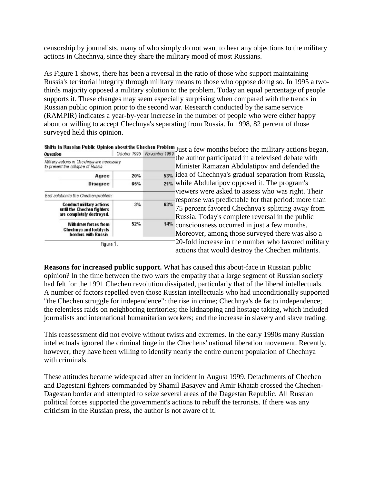censorship by journalists, many of who simply do not want to hear any objections to the military actions in Chechnya, since they share the military mood of most Russians.

As Figure 1 shows, there has been a reversal in the ratio of those who support maintaining Russia's territorial integrity through military means to those who oppose doing so. In 1995 a twothirds majority opposed a military solution to the problem. Today an equal percentage of people supports it. These changes may seem especially surprising when compared with the trends in Russian public opinion prior to the second war. Research conducted by the same service (RAMPIR) indicates a year-by-year increase in the number of people who were either happy about or willing to accept Chechnya's separating from Russia. In 1998, 82 percent of those surveyed held this opinion.

|                                                                                            |             | No vember 1999                                  | Shirts in Russian Public Opinion about the Chechen Problem Just a few months before the military actions began,                                                                                                                                                           |
|--------------------------------------------------------------------------------------------|-------------|-------------------------------------------------|---------------------------------------------------------------------------------------------------------------------------------------------------------------------------------------------------------------------------------------------------------------------------|
| <b>Question</b>                                                                            | Odober 1995 |                                                 | the author participated in a televised debate with                                                                                                                                                                                                                        |
| Military actions in Che dunya are necessary<br>to prevent the collapse of Russia.          |             |                                                 | Minister Ramazan Abdulatipov and defended the                                                                                                                                                                                                                             |
| Agree                                                                                      | 20%         |                                                 | 53% idea of Chechnya's gradual separation from Russia,                                                                                                                                                                                                                    |
| Disagree                                                                                   | 65%         | 21% while Abdulatipov opposed it. The program's |                                                                                                                                                                                                                                                                           |
| Best solution to the Chechen problem:                                                      |             |                                                 | viewers were asked to assess who was right. Their                                                                                                                                                                                                                         |
| <b>Conduct military actions</b><br>until the Chechen fighters<br>are completely destroyed. | 3%          |                                                 | response was predictable for that period: more than<br>75 percent favored Chechnya's splitting away from<br>63%<br>Russia. Today's complete reversal in the public<br>14% consciousness occurred in just a few months.<br>Moreover, among those surveyed there was also a |
| <b>Withdraw forces from</b><br>Chechnya and fortify its<br>borders with Russia.            | 52%         |                                                 |                                                                                                                                                                                                                                                                           |
| Figure 1.                                                                                  |             |                                                 | 20-fold increase in the number who favored military<br>actions that would destroy the Chechen militants.                                                                                                                                                                  |

**Reasons for increased public support.** What has caused this about-face in Russian public opinion? In the time between the two wars the empathy that a large segment of Russian society had felt for the 1991 Chechen revolution dissipated, particularly that of the liberal intellectuals. A number of factors repelled even those Russian intellectuals who had unconditionally supported "the Chechen struggle for independence": the rise in crime; Chechnya's de facto independence; the relentless raids on neighboring territories; the kidnapping and hostage taking, which included journalists and international humanitarian workers; and the increase in slavery and slave trading.

This reassessment did not evolve without twists and extremes. In the early 1990s many Russian intellectuals ignored the criminal tinge in the Chechens' national liberation movement. Recently, however, they have been willing to identify nearly the entire current population of Chechnya with criminals.

These attitudes became widespread after an incident in August 1999. Detachments of Chechen and Dagestani fighters commanded by Shamil Basayev and Amir Khatab crossed the Chechen-Dagestan border and attempted to seize several areas of the Dagestan Republic. All Russian political forces supported the government's actions to rebuff the terrorists. If there was any criticism in the Russian press, the author is not aware of it.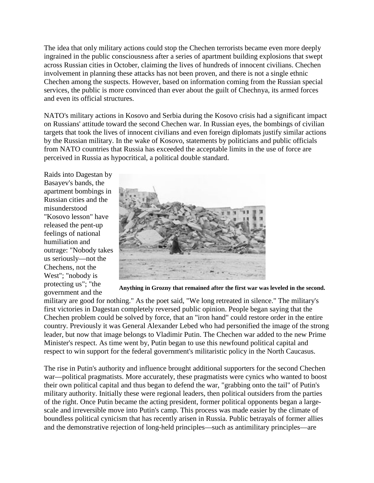The idea that only military actions could stop the Chechen terrorists became even more deeply ingrained in the public consciousness after a series of apartment building explosions that swept across Russian cities in October, claiming the lives of hundreds of innocent civilians. Chechen involvement in planning these attacks has not been proven, and there is not a single ethnic Chechen among the suspects. However, based on information coming from the Russian special services, the public is more convinced than ever about the guilt of Chechnya, its armed forces and even its official structures.

NATO's military actions in Kosovo and Serbia during the Kosovo crisis had a significant impact on Russians' attitude toward the second Chechen war. In Russian eyes, the bombings of civilian targets that took the lives of innocent civilians and even foreign diplomats justify similar actions by the Russian military. In the wake of Kosovo, statements by politicians and public officials from NATO countries that Russia has exceeded the acceptable limits in the use of force are perceived in Russia as hypocritical, a political double standard.

Raids into Dagestan by Basayev's bands, the apartment bombings in Russian cities and the misunderstood "Kosovo lesson" have released the pent-up feelings of national humiliation and outrage: "Nobody takes us seriously—not the Chechens, not the West"; "nobody is protecting us"; "the government and the



**Anything in Grozny that remained after the first war was leveled in the second.**

military are good for nothing." As the poet said, "We long retreated in silence." The military's first victories in Dagestan completely reversed public opinion. People began saying that the Chechen problem could be solved by force, that an "iron hand" could restore order in the entire country. Previously it was General Alexander Lebed who had personified the image of the strong leader, but now that image belongs to Vladimir Putin. The Chechen war added to the new Prime Minister's respect. As time went by, Putin began to use this newfound political capital and respect to win support for the federal government's militaristic policy in the North Caucasus.

The rise in Putin's authority and influence brought additional supporters for the second Chechen war—political pragmatists. More accurately, these pragmatists were cynics who wanted to boost their own political capital and thus began to defend the war, "grabbing onto the tail" of Putin's military authority. Initially these were regional leaders, then political outsiders from the parties of the right. Once Putin became the acting president, former political opponents began a largescale and irreversible move into Putin's camp. This process was made easier by the climate of boundless political cynicism that has recently arisen in Russia. Public betrayals of former allies and the demonstrative rejection of long-held principles—such as antimilitary principles—are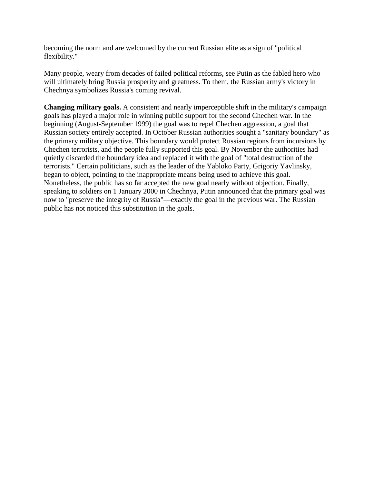becoming the norm and are welcomed by the current Russian elite as a sign of "political flexibility."

Many people, weary from decades of failed political reforms, see Putin as the fabled hero who will ultimately bring Russia prosperity and greatness. To them, the Russian army's victory in Chechnya symbolizes Russia's coming revival.

**Changing military goals.** A consistent and nearly imperceptible shift in the military's campaign goals has played a major role in winning public support for the second Chechen war. In the beginning (August-September 1999) the goal was to repel Chechen aggression, a goal that Russian society entirely accepted. In October Russian authorities sought a "sanitary boundary" as the primary military objective. This boundary would protect Russian regions from incursions by Chechen terrorists, and the people fully supported this goal. By November the authorities had quietly discarded the boundary idea and replaced it with the goal of "total destruction of the terrorists." Certain politicians, such as the leader of the Yabloko Party, Grigoriy Yavlinsky, began to object, pointing to the inappropriate means being used to achieve this goal. Nonetheless, the public has so far accepted the new goal nearly without objection. Finally, speaking to soldiers on 1 January 2000 in Chechnya, Putin announced that the primary goal was now to "preserve the integrity of Russia"—exactly the goal in the previous war. The Russian public has not noticed this substitution in the goals.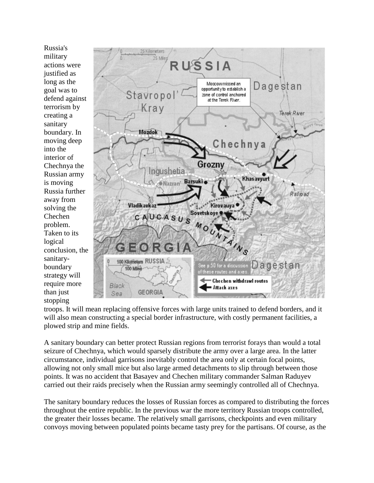Russia's military actions were justified as long as the goal was to defend against terrorism by creating a sanitary boundary. In moving deep into the interior of Chechnya the Russian army is moving Russia further away from solving the Chechen problem. Taken to its logical conclusion, the sanitaryboundary strategy will require more than just stopping



troops. It will mean replacing offensive forces with large units trained to defend borders, and it will also mean constructing a special border infrastructure, with costly permanent facilities, a plowed strip and mine fields.

A sanitary boundary can better protect Russian regions from terrorist forays than would a total seizure of Chechnya, which would sparsely distribute the army over a large area. In the latter circumstance, individual garrisons inevitably control the area only at certain focal points, allowing not only small mice but also large armed detachments to slip through between those points. It was no accident that Basayev and Chechen military commander Salman Raduyev carried out their raids precisely when the Russian army seemingly controlled all of Chechnya.

The sanitary boundary reduces the losses of Russian forces as compared to distributing the forces throughout the entire republic. In the previous war the more territory Russian troops controlled, the greater their losses became. The relatively small garrisons, checkpoints and even military convoys moving between populated points became tasty prey for the partisans. Of course, as the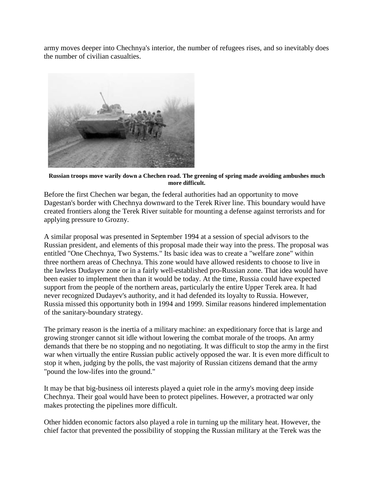army moves deeper into Chechnya's interior, the number of refugees rises, and so inevitably does the number of civilian casualties.



**Russian troops move warily down a Chechen road. The greening of spring made avoiding ambushes much more difficult.**

Before the first Chechen war began, the federal authorities had an opportunity to move Dagestan's border with Chechnya downward to the Terek River line. This boundary would have created frontiers along the Terek River suitable for mounting a defense against terrorists and for applying pressure to Grozny.

A similar proposal was presented in September 1994 at a session of special advisors to the Russian president, and elements of this proposal made their way into the press. The proposal was entitled "One Chechnya, Two Systems." Its basic idea was to create a "welfare zone" within three northern areas of Chechnya. This zone would have allowed residents to choose to live in the lawless Dudayev zone or in a fairly well-established pro-Russian zone. That idea would have been easier to implement then than it would be today. At the time, Russia could have expected support from the people of the northern areas, particularly the entire Upper Terek area. It had never recognized Dudayev's authority, and it had defended its loyalty to Russia. However, Russia missed this opportunity both in 1994 and 1999. Similar reasons hindered implementation of the sanitary-boundary strategy.

The primary reason is the inertia of a military machine: an expeditionary force that is large and growing stronger cannot sit idle without lowering the combat morale of the troops. An army demands that there be no stopping and no negotiating. It was difficult to stop the army in the first war when virtually the entire Russian public actively opposed the war. It is even more difficult to stop it when, judging by the polls, the vast majority of Russian citizens demand that the army "pound the low-lifes into the ground."

It may be that big-business oil interests played a quiet role in the army's moving deep inside Chechnya. Their goal would have been to protect pipelines. However, a protracted war only makes protecting the pipelines more difficult.

Other hidden economic factors also played a role in turning up the military heat. However, the chief factor that prevented the possibility of stopping the Russian military at the Terek was the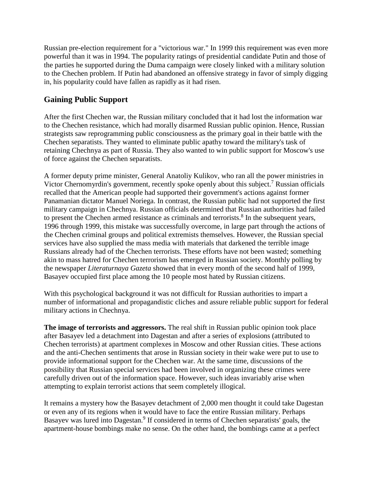Russian pre-election requirement for a "victorious war." In 1999 this requirement was even more powerful than it was in 1994. The popularity ratings of presidential candidate Putin and those of the parties he supported during the Duma campaign were closely linked with a military solution to the Chechen problem. If Putin had abandoned an offensive strategy in favor of simply digging in, his popularity could have fallen as rapidly as it had risen.

## **Gaining Public Support**

After the first Chechen war, the Russian military concluded that it had lost the information war to the Chechen resistance, which had morally disarmed Russian public opinion. Hence, Russian strategists saw reprogramming public consciousness as the primary goal in their battle with the Chechen separatists. They wanted to eliminate public apathy toward the military's task of retaining Chechnya as part of Russia. They also wanted to win public support for Moscow's use of force against the Chechen separatists.

A former deputy prime minister, General Anatoliy Kulikov, who ran all the power ministries in Victor Chernomyrdin's government, recently spoke openly about this subject.7 Russian officials recalled that the American people had supported their government's actions against former Panamanian dictator Manuel Noriega. In contrast, the Russian public had not supported the first military campaign in Chechnya. Russian officials determined that Russian authorities had failed to present the Chechen armed resistance as criminals and terrorists.<sup>8</sup> In the subsequent years, 1996 through 1999, this mistake was successfully overcome, in large part through the actions of the Chechen criminal groups and political extremists themselves. However, the Russian special services have also supplied the mass media with materials that darkened the terrible image Russians already had of the Chechen terrorists. These efforts have not been wasted; something akin to mass hatred for Chechen terrorism has emerged in Russian society. Monthly polling by the newspaper *Literaturnaya Gazeta* showed that in every month of the second half of 1999, Basayev occupied first place among the 10 people most hated by Russian citizens.

With this psychological background it was not difficult for Russian authorities to impart a number of informational and propagandistic cliches and assure reliable public support for federal military actions in Chechnya.

**The image of terrorists and aggressors.** The real shift in Russian public opinion took place after Basayev led a detachment into Dagestan and after a series of explosions (attributed to Chechen terrorists) at apartment complexes in Moscow and other Russian cities. These actions and the anti-Chechen sentiments that arose in Russian society in their wake were put to use to provide informational support for the Chechen war. At the same time, discussions of the possibility that Russian special services had been involved in organizing these crimes were carefully driven out of the information space. However, such ideas invariably arise when attempting to explain terrorist actions that seem completely illogical.

It remains a mystery how the Basayev detachment of 2,000 men thought it could take Dagestan or even any of its regions when it would have to face the entire Russian military. Perhaps Basayev was lured into Dagestan.<sup>9</sup> If considered in terms of Chechen separatists' goals, the apartment-house bombings make no sense. On the other hand, the bombings came at a perfect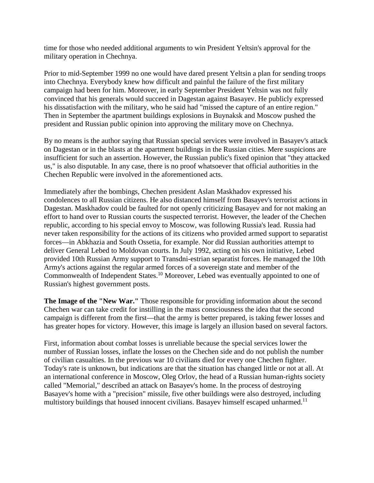time for those who needed additional arguments to win President Yeltsin's approval for the military operation in Chechnya.

Prior to mid-September 1999 no one would have dared present Yeltsin a plan for sending troops into Chechnya. Everybody knew how difficult and painful the failure of the first military campaign had been for him. Moreover, in early September President Yeltsin was not fully convinced that his generals would succeed in Dagestan against Basayev. He publicly expressed his dissatisfaction with the military, who he said had "missed the capture of an entire region." Then in September the apartment buildings explosions in Buynaksk and Moscow pushed the president and Russian public opinion into approving the military move on Chechnya.

By no means is the author saying that Russian special services were involved in Basayev's attack on Dagestan or in the blasts at the apartment buildings in the Russian cities. Mere suspicions are insufficient for such an assertion. However, the Russian public's fixed opinion that "they attacked us," is also disputable. In any case, there is no proof whatsoever that official authorities in the Chechen Republic were involved in the aforementioned acts.

Immediately after the bombings, Chechen president Aslan Maskhadov expressed his condolences to all Russian citizens. He also distanced himself from Basayev's terrorist actions in Dagestan. Maskhadov could be faulted for not openly criticizing Basayev and for not making an effort to hand over to Russian courts the suspected terrorist. However, the leader of the Chechen republic, according to his special envoy to Moscow, was following Russia's lead. Russia had never taken responsibility for the actions of its citizens who provided armed support to separatist forces—in Abkhazia and South Ossetia, for example. Nor did Russian authorities attempt to deliver General Lebed to Moldovan courts. In July 1992, acting on his own initiative, Lebed provided 10th Russian Army support to Transdni-estrian separatist forces. He managed the 10th Army's actions against the regular armed forces of a sovereign state and member of the Commonwealth of Independent States.<sup>10</sup> Moreover, Lebed was eventually appointed to one of Russian's highest government posts.

**The Image of the "New War."** Those responsible for providing information about the second Chechen war can take credit for instilling in the mass consciousness the idea that the second campaign is different from the first—that the army is better prepared, is taking fewer losses and has greater hopes for victory. However, this image is largely an illusion based on several factors.

First, information about combat losses is unreliable because the special services lower the number of Russian losses, inflate the losses on the Chechen side and do not publish the number of civilian casualties. In the previous war 10 civilians died for every one Chechen fighter. Today's rate is unknown, but indications are that the situation has changed little or not at all. At an international conference in Moscow, Oleg Orlov, the head of a Russian human-rights society called "Memorial," described an attack on Basayev's home. In the process of destroying Basayev's home with a "precision" missile, five other buildings were also destroyed, including multistory buildings that housed innocent civilians. Basayev himself escaped unharmed.<sup>11</sup>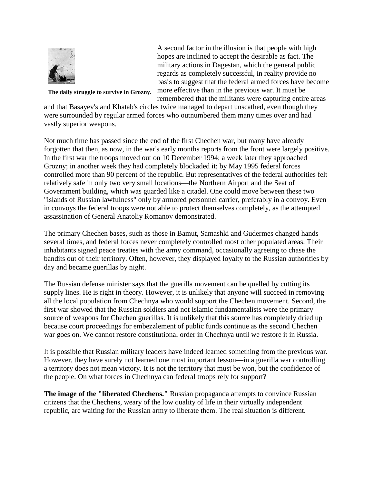

A second factor in the illusion is that people with high hopes are inclined to accept the desirable as fact. The military actions in Dagestan, which the general public regards as completely successful, in reality provide no basis to suggest that the federal armed forces have become more effective than in the previous war. It must be remembered that the militants were capturing entire areas

**The daily struggle to survive in Grozny.**

and that Basayev's and Khatab's circles twice managed to depart unscathed, even though they were surrounded by regular armed forces who outnumbered them many times over and had vastly superior weapons.

Not much time has passed since the end of the first Chechen war, but many have already forgotten that then, as now, in the war's early months reports from the front were largely positive. In the first war the troops moved out on 10 December 1994; a week later they approached Grozny; in another week they had completely blockaded it; by May 1995 federal forces controlled more than 90 percent of the republic. But representatives of the federal authorities felt relatively safe in only two very small locations—the Northern Airport and the Seat of Government building, which was guarded like a citadel. One could move between these two "islands of Russian lawfulness" only by armored personnel carrier, preferably in a convoy. Even in convoys the federal troops were not able to protect themselves completely, as the attempted assassination of General Anatoliy Romanov demonstrated.

The primary Chechen bases, such as those in Bamut, Samashki and Gudermes changed hands several times, and federal forces never completely controlled most other populated areas. Their inhabitants signed peace treaties with the army command, occasionally agreeing to chase the bandits out of their territory. Often, however, they displayed loyalty to the Russian authorities by day and became guerillas by night.

The Russian defense minister says that the guerilla movement can be quelled by cutting its supply lines. He is right in theory. However, it is unlikely that anyone will succeed in removing all the local population from Chechnya who would support the Chechen movement. Second, the first war showed that the Russian soldiers and not Islamic fundamentalists were the primary source of weapons for Chechen guerillas. It is unlikely that this source has completely dried up because court proceedings for embezzlement of public funds continue as the second Chechen war goes on. We cannot restore constitutional order in Chechnya until we restore it in Russia.

It is possible that Russian military leaders have indeed learned something from the previous war. However, they have surely not learned one most important lesson—in a guerilla war controlling a territory does not mean victory. It is not the territory that must be won, but the confidence of the people. On what forces in Chechnya can federal troops rely for support?

**The image of the "liberated Chechens."** Russian propaganda attempts to convince Russian citizens that the Chechens, weary of the low quality of life in their virtually independent republic, are waiting for the Russian army to liberate them. The real situation is different.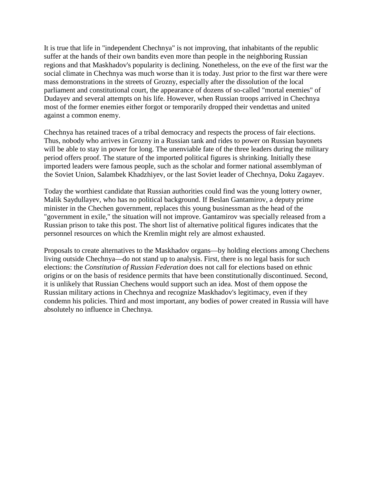It is true that life in "independent Chechnya" is not improving, that inhabitants of the republic suffer at the hands of their own bandits even more than people in the neighboring Russian regions and that Maskhadov's popularity is declining. Nonetheless, on the eve of the first war the social climate in Chechnya was much worse than it is today. Just prior to the first war there were mass demonstrations in the streets of Grozny, especially after the dissolution of the local parliament and constitutional court, the appearance of dozens of so-called "mortal enemies" of Dudayev and several attempts on his life. However, when Russian troops arrived in Chechnya most of the former enemies either forgot or temporarily dropped their vendettas and united against a common enemy.

Chechnya has retained traces of a tribal democracy and respects the process of fair elections. Thus, nobody who arrives in Grozny in a Russian tank and rides to power on Russian bayonets will be able to stay in power for long. The unenviable fate of the three leaders during the military period offers proof. The stature of the imported political figures is shrinking. Initially these imported leaders were famous people, such as the scholar and former national assemblyman of the Soviet Union, Salambek Khadzhiyev, or the last Soviet leader of Chechnya, Doku Zagayev.

Today the worthiest candidate that Russian authorities could find was the young lottery owner, Malik Saydullayev, who has no political background. If Beslan Gantamirov, a deputy prime minister in the Chechen government, replaces this young businessman as the head of the "government in exile," the situation will not improve. Gantamirov was specially released from a Russian prison to take this post. The short list of alternative political figures indicates that the personnel resources on which the Kremlin might rely are almost exhausted.

Proposals to create alternatives to the Maskhadov organs—by holding elections among Chechens living outside Chechnya—do not stand up to analysis. First, there is no legal basis for such elections: the *Constitution of Russian Federation* does not call for elections based on ethnic origins or on the basis of residence permits that have been constitutionally discontinued. Second, it is unlikely that Russian Chechens would support such an idea. Most of them oppose the Russian military actions in Chechnya and recognize Maskhadov's legitimacy, even if they condemn his policies. Third and most important, any bodies of power created in Russia will have absolutely no influence in Chechnya.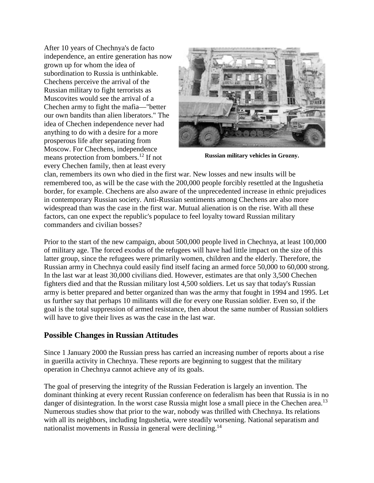After 10 years of Chechnya's de facto independence, an entire generation has now grown up for whom the idea of subordination to Russia is unthinkable. Chechens perceive the arrival of the Russian military to fight terrorists as Muscovites would see the arrival of a Chechen army to fight the mafia—"better our own bandits than alien liberators." The idea of Chechen independence never had anything to do with a desire for a more prosperous life after separating from Moscow. For Chechens, independence means protection from bombers.12 If not every Chechen family, then at least every



**Russian military vehicles in Grozny.**

clan, remembers its own who died in the first war. New losses and new insults will be remembered too, as will be the case with the 200,000 people forcibly resettled at the Ingushetia border, for example. Chechens are also aware of the unprecedented increase in ethnic prejudices in contemporary Russian society. Anti-Russian sentiments among Chechens are also more widespread than was the case in the first war. Mutual alienation is on the rise. With all these factors, can one expect the republic's populace to feel loyalty toward Russian military commanders and civilian bosses?

Prior to the start of the new campaign, about 500,000 people lived in Chechnya, at least 100,000 of military age. The forced exodus of the refugees will have had little impact on the size of this latter group, since the refugees were primarily women, children and the elderly. Therefore, the Russian army in Chechnya could easily find itself facing an armed force 50,000 to 60,000 strong. In the last war at least 30,000 civilians died. However, estimates are that only 3,500 Chechen fighters died and that the Russian military lost 4,500 soldiers. Let us say that today's Russian army is better prepared and better organized than was the army that fought in 1994 and 1995. Let us further say that perhaps 10 militants will die for every one Russian soldier. Even so, if the goal is the total suppression of armed resistance, then about the same number of Russian soldiers will have to give their lives as was the case in the last war.

## **Possible Changes in Russian Attitudes**

Since 1 January 2000 the Russian press has carried an increasing number of reports about a rise in guerilla activity in Chechnya. These reports are beginning to suggest that the military operation in Chechnya cannot achieve any of its goals.

The goal of preserving the integrity of the Russian Federation is largely an invention. The dominant thinking at every recent Russian conference on federalism has been that Russia is in no danger of disintegration. In the worst case Russia might lose a small piece in the Chechen area.<sup>13</sup> Numerous studies show that prior to the war, nobody was thrilled with Chechnya. Its relations with all its neighbors, including Ingushetia, were steadily worsening. National separatism and nationalist movements in Russia in general were declining.<sup>14</sup>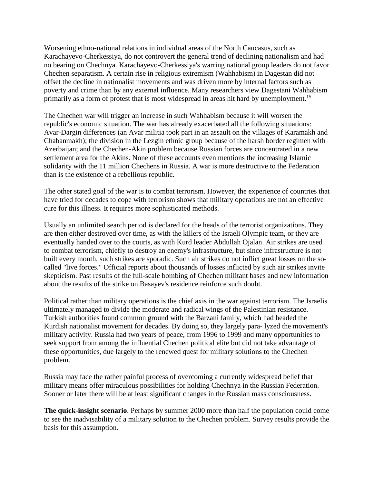Worsening ethno-national relations in individual areas of the North Caucasus, such as Karachayevo-Cherkessiya, do not controvert the general trend of declining nationalism and had no bearing on Chechnya. Karachayevo-Cherkessiya's warring national group leaders do not favor Chechen separatism. A certain rise in religious extremism (Wahhabism) in Dagestan did not offset the decline in nationalist movements and was driven more by internal factors such as poverty and crime than by any external influence. Many researchers view Dagestani Wahhabism primarily as a form of protest that is most widespread in areas hit hard by unemployment.<sup>15</sup>

The Chechen war will trigger an increase in such Wahhabism because it will worsen the republic's economic situation. The war has already exacerbated all the following situations: Avar-Dargin differences (an Avar militia took part in an assault on the villages of Karamakh and Chabanmakh); the division in the Lezgin ethnic group because of the harsh border regimen with Azerbaijan; and the Chechen-Akin problem because Russian forces are concentrated in a new settlement area for the Akins. None of these accounts even mentions the increasing Islamic solidarity with the 11 million Chechens in Russia. A war is more destructive to the Federation than is the existence of a rebellious republic.

The other stated goal of the war is to combat terrorism. However, the experience of countries that have tried for decades to cope with terrorism shows that military operations are not an effective cure for this illness. It requires more sophisticated methods.

Usually an unlimited search period is declared for the heads of the terrorist organizations. They are then either destroyed over time, as with the killers of the Israeli Olympic team, or they are eventually handed over to the courts, as with Kurd leader Abdullah Ojalan. Air strikes are used to combat terrorism, chiefly to destroy an enemy's infrastructure, but since infrastructure is not built every month, such strikes are sporadic. Such air strikes do not inflict great losses on the socalled "live forces." Official reports about thousands of losses inflicted by such air strikes invite skepticism. Past results of the full-scale bombing of Chechen militant bases and new information about the results of the strike on Basayev's residence reinforce such doubt.

Political rather than military operations is the chief axis in the war against terrorism. The Israelis ultimately managed to divide the moderate and radical wings of the Palestinian resistance. Turkish authorities found common ground with the Barzani family, which had headed the Kurdish nationalist movement for decades. By doing so, they largely para- lyzed the movement's military activity. Russia had two years of peace, from 1996 to 1999 and many opportunities to seek support from among the influential Chechen political elite but did not take advantage of these opportunities, due largely to the renewed quest for military solutions to the Chechen problem.

Russia may face the rather painful process of overcoming a currently widespread belief that military means offer miraculous possibilities for holding Chechnya in the Russian Federation. Sooner or later there will be at least significant changes in the Russian mass consciousness.

**The quick-insight scenario**. Perhaps by summer 2000 more than half the population could come to see the inadvisability of a military solution to the Chechen problem. Survey results provide the basis for this assumption.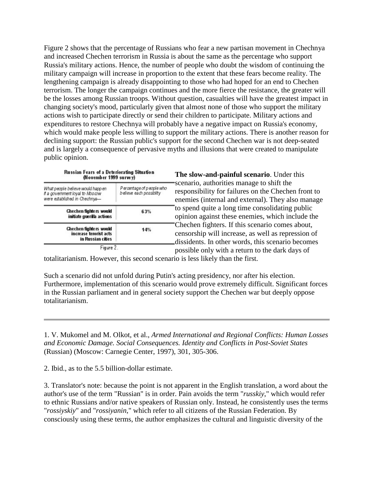Figure 2 shows that the percentage of Russians who fear a new partisan movement in Chechnya and increased Chechen terrorism in Russia is about the same as the percentage who support Russia's military actions. Hence, the number of people who doubt the wisdom of continuing the military campaign will increase in proportion to the extent that these fears become reality. The lengthening campaign is already disappointing to those who had hoped for an end to Chechen terrorism. The longer the campaign continues and the more fierce the resistance, the greater will be the losses among Russian troops. Without question, casualties will have the greatest impact in changing society's mood, particularly given that almost none of those who support the military actions wish to participate directly or send their children to participate. Military actions and expenditures to restore Chechnya will probably have a negative impact on Russia's economy, which would make people less willing to support the military actions. There is another reason for declining support: the Russian public's support for the second Chechen war is not deep-seated and is largely a consequence of pervasive myths and illusions that were created to manipulate public opinion.

| Russian Fears of a Deteriorating Situation<br>(November 1999 survey) |  |  |  |
|----------------------------------------------------------------------|--|--|--|
| P ercentage of p eople who<br>b elieve each possibilty               |  |  |  |
| 63%                                                                  |  |  |  |
| 14%                                                                  |  |  |  |
|                                                                      |  |  |  |

**The slow-and-painful scenario**. Under this scenario, authorities manage to shift the responsibility for failures on the Chechen front to enemies (internal and external). They also manage to spend quite a long time consolidating public opinion against these enemies, which include the Chechen fighters. If this scenario comes about, censorship will increase, as well as repression of dissidents. In other words, this scenario becomes possible only with a return to the dark days of

totalitarianism. However, this second scenario is less likely than the first.

Such a scenario did not unfold during Putin's acting presidency, nor after his election. Furthermore, implementation of this scenario would prove extremely difficult. Significant forces in the Russian parliament and in general society support the Chechen war but deeply oppose totalitarianism.

1. V. Mukomel and M. Olkot, et al., *Armed International and Regional Conflicts: Human Losses and Economic Damage. Social Consequences. Identity and Conflicts in Post-Soviet States* (Russian) (Moscow: Carnegie Center, 1997), 301, 305-306.

2. Ibid., as to the 5.5 billion-dollar estimate.

3. Translator's note: because the point is not apparent in the English translation, a word about the author's use of the term "Russian" is in order. Pain avoids the term "*russkiy*," which would refer to ethnic Russians and/or native speakers of Russian only. Instead, he consistently uses the terms "*rossiyskiy*" and "*rossiyanin*," which refer to all citizens of the Russian Federation. By consciously using these terms, the author emphasizes the cultural and linguistic diversity of the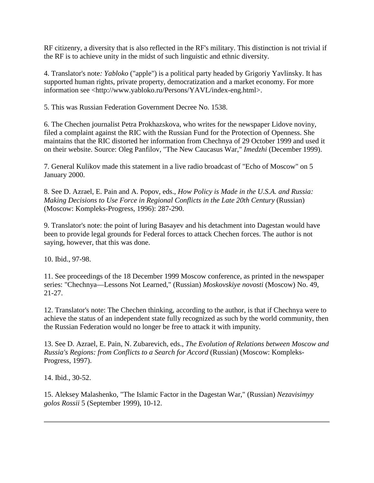RF citizenry, a diversity that is also reflected in the RF's military. This distinction is not trivial if the RF is to achieve unity in the midst of such linguistic and ethnic diversity.

4. Translator's note*: Yabloko* ("apple") is a political party headed by Grigoriy Yavlinsky. It has supported human rights, private property, democratization and a market economy. For more information see <http://www.yabloko.ru/Persons/YAVL/index-eng.html>.

5. This was Russian Federation Government Decree No. 1538.

6. The Chechen journalist Petra Prokhazskova, who writes for the newspaper Lidove noviny, filed a complaint against the RIC with the Russian Fund for the Protection of Openness. She maintains that the RIC distorted her information from Chechnya of 29 October 1999 and used it on their website. Source: Oleg Panfilov, "The New Caucasus War," *Imedzhi* (December 1999).

7. General Kulikov made this statement in a live radio broadcast of "Echo of Moscow" on 5 January 2000.

8. See D. Azrael, E. Pain and A. Popov, eds., *How Policy is Made in the U.S.A. and Russia: Making Decisions to Use Force in Regional Conflicts in the Late 20th Century* (Russian) (Moscow: Kompleks-Progress, 1996): 287-290.

9. Translator's note: the point of luring Basayev and his detachment into Dagestan would have been to provide legal grounds for Federal forces to attack Chechen forces. The author is not saying, however, that this was done.

10. Ibid., 97-98.

11. See proceedings of the 18 December 1999 Moscow conference, as printed in the newspaper series: "Chechnya—Lessons Not Learned," (Russian) *Moskovskiye novosti* (Moscow) No. 49, 21-27.

12. Translator's note: The Chechen thinking, according to the author, is that if Chechnya were to achieve the status of an independent state fully recognized as such by the world community, then the Russian Federation would no longer be free to attack it with impunity.

13. See D. Azrael, E. Pain, N. Zubarevich, eds., *The Evolution of Relations between Moscow and Russia's Regions: from Conflicts to a Search for Accord* (Russian) (Moscow: Kompleks-Progress, 1997).

14. Ibid., 30-52.

15. Aleksey Malashenko, "The Islamic Factor in the Dagestan War," (Russian) *Nezavisimyy golos Rossii* 5 (September 1999), 10-12.